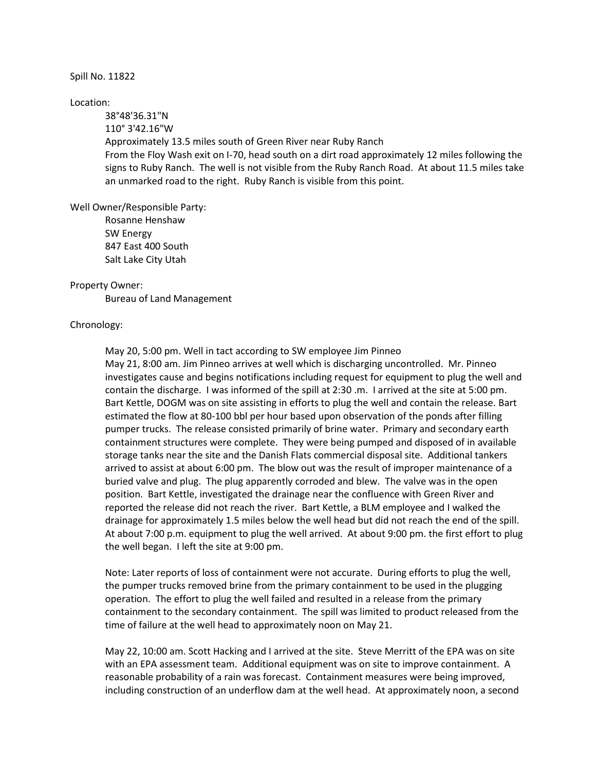## Spill No. 11822

## Location:

38°48'36.31"N 110° 3'42.16"W Approximately 13.5 miles south of Green River near Ruby Ranch From the Floy Wash exit on I-70, head south on a dirt road approximately 12 miles following the signs to Ruby Ranch. The well is not visible from the Ruby Ranch Road. At about 11.5 miles take an unmarked road to the right. Ruby Ranch is visible from this point.

Well Owner/Responsible Party:

Rosanne Henshaw SW Energy 847 East 400 South Salt Lake City Utah

## Property Owner:

Bureau of Land Management

## Chronology:

May 20, 5:00 pm. Well in tact according to SW employee Jim Pinneo May 21, 8:00 am. Jim Pinneo arrives at well which is discharging uncontrolled. Mr. Pinneo investigates cause and begins notifications including request for equipment to plug the well and contain the discharge. I was informed of the spill at 2:30 .m. I arrived at the site at 5:00 pm. Bart Kettle, DOGM was on site assisting in efforts to plug the well and contain the release. Bart estimated the flow at 80-100 bbl per hour based upon observation of the ponds after filling pumper trucks. The release consisted primarily of brine water. Primary and secondary earth containment structures were complete. They were being pumped and disposed of in available storage tanks near the site and the Danish Flats commercial disposal site. Additional tankers arrived to assist at about 6:00 pm. The blow out was the result of improper maintenance of a buried valve and plug. The plug apparently corroded and blew. The valve was in the open position. Bart Kettle, investigated the drainage near the confluence with Green River and reported the release did not reach the river. Bart Kettle, a BLM employee and I walked the drainage for approximately 1.5 miles below the well head but did not reach the end of the spill. At about 7:00 p.m. equipment to plug the well arrived. At about 9:00 pm. the first effort to plug the well began. I left the site at 9:00 pm.

Note: Later reports of loss of containment were not accurate. During efforts to plug the well, the pumper trucks removed brine from the primary containment to be used in the plugging operation. The effort to plug the well failed and resulted in a release from the primary containment to the secondary containment. The spill was limited to product released from the time of failure at the well head to approximately noon on May 21.

May 22, 10:00 am. Scott Hacking and I arrived at the site. Steve Merritt of the EPA was on site with an EPA assessment team. Additional equipment was on site to improve containment. A reasonable probability of a rain was forecast. Containment measures were being improved, including construction of an underflow dam at the well head. At approximately noon, a second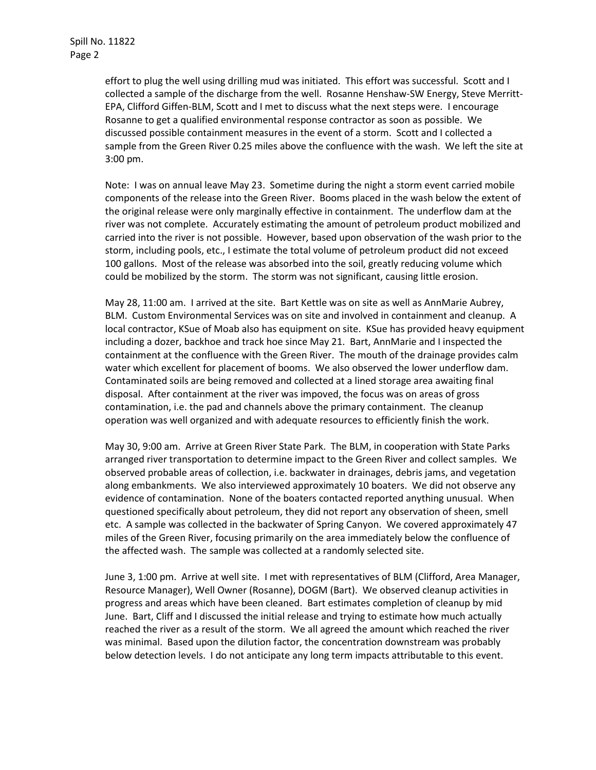effort to plug the well using drilling mud was initiated. This effort was successful. Scott and I collected a sample of the discharge from the well. Rosanne Henshaw-SW Energy, Steve Merritt-EPA, Clifford Giffen-BLM, Scott and I met to discuss what the next steps were. I encourage Rosanne to get a qualified environmental response contractor as soon as possible. We discussed possible containment measures in the event of a storm. Scott and I collected a sample from the Green River 0.25 miles above the confluence with the wash. We left the site at 3:00 pm.

Note: I was on annual leave May 23. Sometime during the night a storm event carried mobile components of the release into the Green River. Booms placed in the wash below the extent of the original release were only marginally effective in containment. The underflow dam at the river was not complete. Accurately estimating the amount of petroleum product mobilized and carried into the river is not possible. However, based upon observation of the wash prior to the storm, including pools, etc., I estimate the total volume of petroleum product did not exceed 100 gallons. Most of the release was absorbed into the soil, greatly reducing volume which could be mobilized by the storm. The storm was not significant, causing little erosion.

May 28, 11:00 am. I arrived at the site. Bart Kettle was on site as well as AnnMarie Aubrey, BLM. Custom Environmental Services was on site and involved in containment and cleanup. A local contractor, KSue of Moab also has equipment on site. KSue has provided heavy equipment including a dozer, backhoe and track hoe since May 21. Bart, AnnMarie and I inspected the containment at the confluence with the Green River. The mouth of the drainage provides calm water which excellent for placement of booms. We also observed the lower underflow dam. Contaminated soils are being removed and collected at a lined storage area awaiting final disposal. After containment at the river was impoved, the focus was on areas of gross contamination, i.e. the pad and channels above the primary containment. The cleanup operation was well organized and with adequate resources to efficiently finish the work.

May 30, 9:00 am. Arrive at Green River State Park. The BLM, in cooperation with State Parks arranged river transportation to determine impact to the Green River and collect samples. We observed probable areas of collection, i.e. backwater in drainages, debris jams, and vegetation along embankments. We also interviewed approximately 10 boaters. We did not observe any evidence of contamination. None of the boaters contacted reported anything unusual. When questioned specifically about petroleum, they did not report any observation of sheen, smell etc. A sample was collected in the backwater of Spring Canyon. We covered approximately 47 miles of the Green River, focusing primarily on the area immediately below the confluence of the affected wash. The sample was collected at a randomly selected site.

June 3, 1:00 pm. Arrive at well site. I met with representatives of BLM (Clifford, Area Manager, Resource Manager), Well Owner (Rosanne), DOGM (Bart). We observed cleanup activities in progress and areas which have been cleaned. Bart estimates completion of cleanup by mid June. Bart, Cliff and I discussed the initial release and trying to estimate how much actually reached the river as a result of the storm. We all agreed the amount which reached the river was minimal. Based upon the dilution factor, the concentration downstream was probably below detection levels. I do not anticipate any long term impacts attributable to this event.